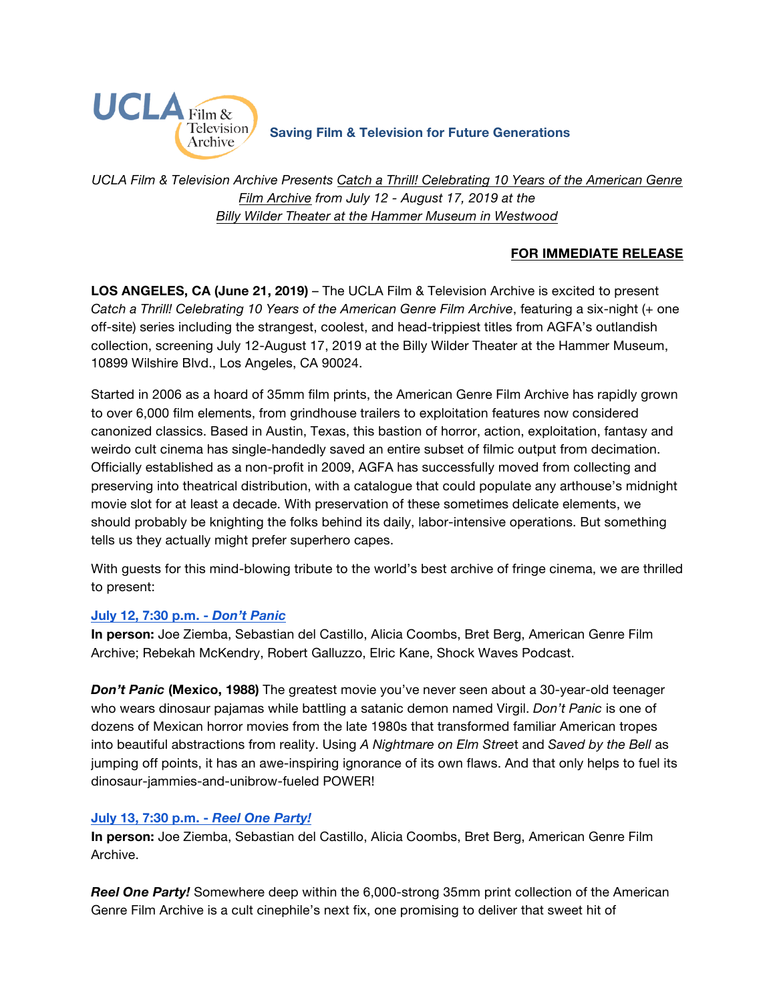

**Saving Film & Television for Future Generations**

*UCLA Film & Television Archive Presents [Catch a Thrill! Celebrating 10 Years of the American Genre](https://www.cinema.ucla.edu/events/2019/agfa-10th-anniversary)  [Film Archive](https://www.cinema.ucla.edu/events/2019/agfa-10th-anniversary) from July 12 - August 17, 2019 at the [Billy Wilder Theater at the Hammer Museum in Westwood](https://www.cinema.ucla.edu/billy-wilder-theater)*

## **FOR IMMEDIATE RELEASE**

**LOS ANGELES, CA (June 21, 2019)** – The UCLA Film & Television Archive is excited to present *Catch a Thrill! Celebrating 10 Years of the American Genre Film Archive*, featuring a six-night (+ one off-site) series including the strangest, coolest, and head-trippiest titles from AGFA's outlandish collection, screening July 12-August 17, 2019 at the Billy Wilder Theater at the Hammer Museum, 10899 Wilshire Blvd., Los Angeles, CA 90024.

Started in 2006 as a hoard of 35mm film prints, the American Genre Film Archive has rapidly grown to over 6,000 film elements, from grindhouse trailers to exploitation features now considered canonized classics. Based in Austin, Texas, this bastion of horror, action, exploitation, fantasy and weirdo cult cinema has single-handedly saved an entire subset of filmic output from decimation. Officially established as a non-profit in 2009, AGFA has successfully moved from collecting and preserving into theatrical distribution, with a catalogue that could populate any arthouse's midnight movie slot for at least a decade. With preservation of these sometimes delicate elements, we should probably be knighting the folks behind its daily, labor-intensive operations. But something tells us they actually might prefer superhero capes.

With guests for this mind-blowing tribute to the world's best archive of fringe cinema, we are thrilled to present:

### **[July 12, 7:30 p.m. -](https://www.cinema.ucla.edu/events/2019/07/12/dont-panic)** *Don't Panic*

**In person:** Joe Ziemba, Sebastian del Castillo, Alicia Coombs, Bret Berg, American Genre Film Archive; Rebekah McKendry, Robert Galluzzo, Elric Kane, Shock Waves Podcast.

**Don't Panic (Mexico, 1988)** The greatest movie you've never seen about a 30-year-old teenager who wears dinosaur pajamas while battling a satanic demon named Virgil. *Don't Panic* is one of dozens of Mexican horror movies from the late 1980s that transformed familiar American tropes into beautiful abstractions from reality. Using *A Nightmare on Elm Stree*t and *Saved by the Bell* as jumping off points, it has an awe-inspiring ignorance of its own flaws. And that only helps to fuel its dinosaur-jammies-and-unibrow-fueled POWER!

## **July 13, 7:30 p.m. -** *[Reel One Party!](https://www.cinema.ucla.edu/events/2019/07/13/reel-one-party)*

**In person:** Joe Ziemba, Sebastian del Castillo, Alicia Coombs, Bret Berg, American Genre Film Archive.

*Reel One Party!* Somewhere deep within the 6,000-strong 35mm print collection of the American Genre Film Archive is a cult cinephile's next fix, one promising to deliver that sweet hit of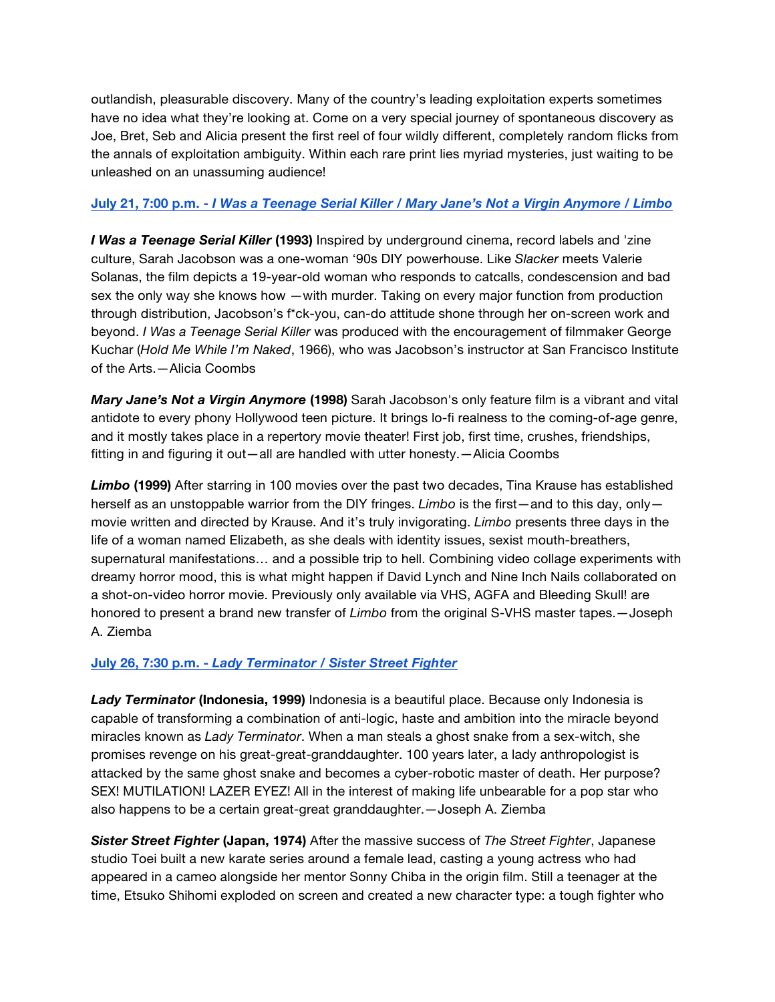outlandish, pleasurable discovery. Many of the country's leading exploitation experts sometimes have no idea what they're looking at. Come on a very special journey of spontaneous discovery as Joe, Bret, Seb and Alicia present the first reel of four wildly different, completely random flicks from the annals of exploitation ambiguity. Within each rare print lies myriad mysteries, just waiting to be unleashed on an unassuming audience!

## **July 21, 7:00 p.m. -** *[I Was a Teenage Serial Killer / Mary Jane's Not a Virgin Anymore / Limbo](https://www.cinema.ucla.edu/events/2019/07/21/teenage-serial-killer-mary-jane-limbo)*

*I Was a Teenage Serial Killer* **(1993)** Inspired by underground cinema, record labels and 'zine culture, Sarah Jacobson was a one-woman '90s DIY powerhouse. Like *Slacker* meets Valerie Solanas, the film depicts a 19-year-old woman who responds to catcalls, condescension and bad sex the only way she knows how —with murder. Taking on every major function from production through distribution, Jacobson's f\*ck-you, can-do attitude shone through her on-screen work and beyond. *I Was a Teenage Serial Killer* was produced with the encouragement of filmmaker George Kuchar (*Hold Me While I'm Naked*, 1966), who was Jacobson's instructor at San Francisco Institute of the Arts.—Alicia Coombs

*Mary Jane's Not a Virgin Anymore* **(1998)** Sarah Jacobson's only feature film is a vibrant and vital antidote to every phony Hollywood teen picture. It brings lo-fi realness to the coming-of-age genre, and it mostly takes place in a repertory movie theater! First job, first time, crushes, friendships, fitting in and figuring it out—all are handled with utter honesty.—Alicia Coombs

*Limbo* **(1999)** After starring in 100 movies over the past two decades, Tina Krause has established herself as an unstoppable warrior from the DIY fringes. *Limbo* is the first—and to this day, only movie written and directed by Krause. And it's truly invigorating. *Limbo* presents three days in the life of a woman named Elizabeth, as she deals with identity issues, sexist mouth-breathers, supernatural manifestations… and a possible trip to hell. Combining video collage experiments with dreamy horror mood, this is what might happen if David Lynch and Nine Inch Nails collaborated on a shot-on-video horror movie. Previously only available via VHS, AGFA and Bleeding Skull! are honored to present a brand new transfer of *Limbo* from the original S-VHS master tapes.—Joseph A. Ziemba

## **July 26, 7:30 p.m. -** *[Lady Terminator / Sister Street Fighter](https://www.cinema.ucla.edu/events/2019/07/26/lady-terminator-sister-street-fighter)*

*Lady Terminator* **(Indonesia, 1999)** Indonesia is a beautiful place. Because only Indonesia is capable of transforming a combination of anti-logic, haste and ambition into the miracle beyond miracles known as *Lady Terminator*. When a man steals a ghost snake from a sex-witch, she promises revenge on his great-great-granddaughter. 100 years later, a lady anthropologist is attacked by the same ghost snake and becomes a cyber-robotic master of death. Her purpose? SEX! MUTILATION! LAZER EYEZ! All in the interest of making life unbearable for a pop star who also happens to be a certain great-great granddaughter.—Joseph A. Ziemba

*Sister Street Fighter* **(Japan, 1974)** After the massive success of *The Street Fighter*, Japanese studio Toei built a new karate series around a female lead, casting a young actress who had appeared in a cameo alongside her mentor Sonny Chiba in the origin film. Still a teenager at the time, Etsuko Shihomi exploded on screen and created a new character type: a tough fighter who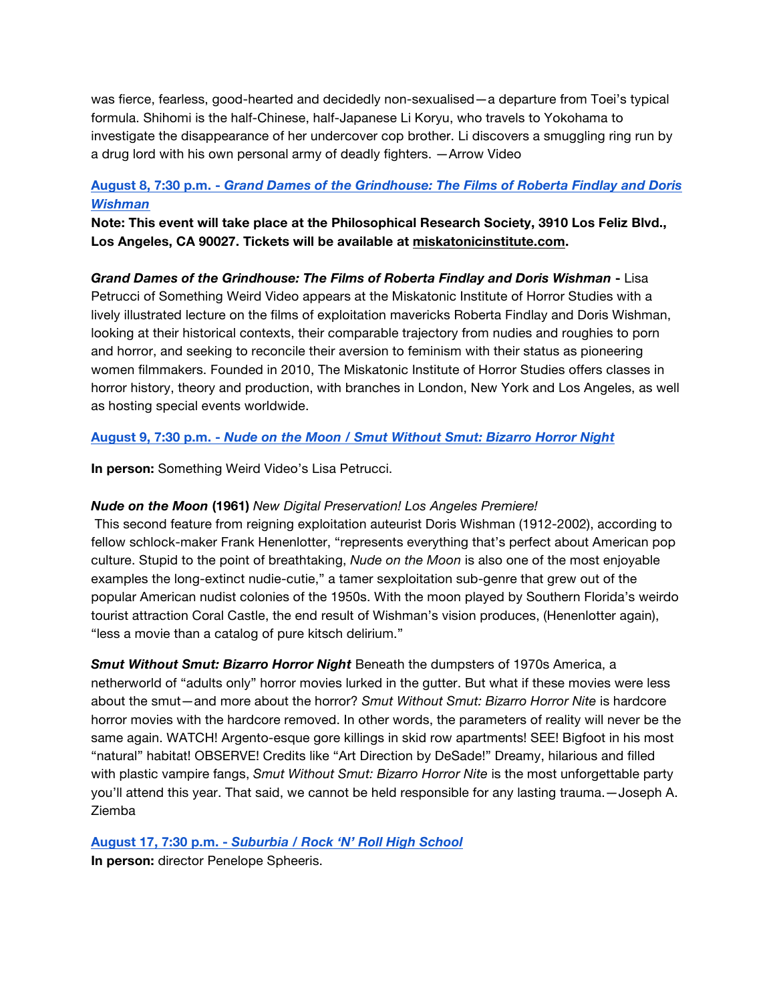was fierce, fearless, good-hearted and decidedly non-sexualised—a departure from Toei's typical formula. Shihomi is the half-Chinese, half-Japanese Li Koryu, who travels to Yokohama to investigate the disappearance of her undercover cop brother. Li discovers a smuggling ring run by a drug lord with his own personal army of deadly fighters. —Arrow Video

# **August 8, 7:30 p.m. -** *[Grand Dames of the Grindhouse: The Films of Roberta Findlay and Doris](https://www.cinema.ucla.edu/events/2019/08/09/grand-dames-grindhouse) Wishman*

**Note: This event will take place at the Philosophical Research Society, 3910 Los Feliz Blvd., Los Angeles, CA 90027. Tickets will be available at [miskatonicinstitute.com.](https://www.miskatonicinstitute.com/)**

*Grand Dames of the Grindhouse: The Films of Roberta Findlay and Doris Wishman* **-** Lisa Petrucci of Something Weird Video appears at the Miskatonic Institute of Horror Studies with a lively illustrated lecture on the films of exploitation mavericks Roberta Findlay and Doris Wishman, looking at their historical contexts, their comparable trajectory from nudies and roughies to porn and horror, and seeking to reconcile their aversion to feminism with their status as pioneering women filmmakers. Founded in 2010, The Miskatonic Institute of Horror Studies offers classes in horror history, theory and production, with branches in London, New York and Los Angeles, as well as hosting special events worldwide.

### **August 9, 7:30 p.m. -** *[Nude on the Moon / Smut Without Smut: Bizarro Horror Night](https://www.cinema.ucla.edu/events/2019/08/09/nude-on-the-moon-smut-without-smut)*

**In person:** Something Weird Video's Lisa Petrucci.

### *Nude on the Moon* **(1961)** *New Digital Preservation! Los Angeles Premiere!*

This second feature from reigning exploitation auteurist Doris Wishman (1912-2002), according to fellow schlock-maker Frank Henenlotter, "represents everything that's perfect about American pop culture. Stupid to the point of breathtaking, *Nude on the Moon* is also one of the most enjoyable examples the long-extinct nudie-cutie," a tamer sexploitation sub-genre that grew out of the popular American nudist colonies of the 1950s. With the moon played by Southern Florida's weirdo tourist attraction Coral Castle, the end result of Wishman's vision produces, (Henenlotter again), "less a movie than a catalog of pure kitsch delirium."

*Smut Without Smut: Bizarro Horror Night* Beneath the dumpsters of 1970s America, a netherworld of "adults only" horror movies lurked in the gutter. But what if these movies were less about the smut—and more about the horror? *Smut Without Smut: Bizarro Horror Nite* is hardcore horror movies with the hardcore removed. In other words, the parameters of reality will never be the same again. WATCH! Argento-esque gore killings in skid row apartments! SEE! Bigfoot in his most "natural" habitat! OBSERVE! Credits like "Art Direction by DeSade!" Dreamy, hilarious and filled with plastic vampire fangs, *Smut Without Smut: Bizarro Horror Nite* is the most unforgettable party you'll attend this year. That said, we cannot be held responsible for any lasting trauma.—Joseph A. Ziemba

### **August 17, 7:30 p.m. -** *[Suburbia / Rock 'N' Roll High School](https://www.cinema.ucla.edu/events/2019/08/17/suburbia-rock-roll-high-school)*

**In person:** director Penelope Spheeris.